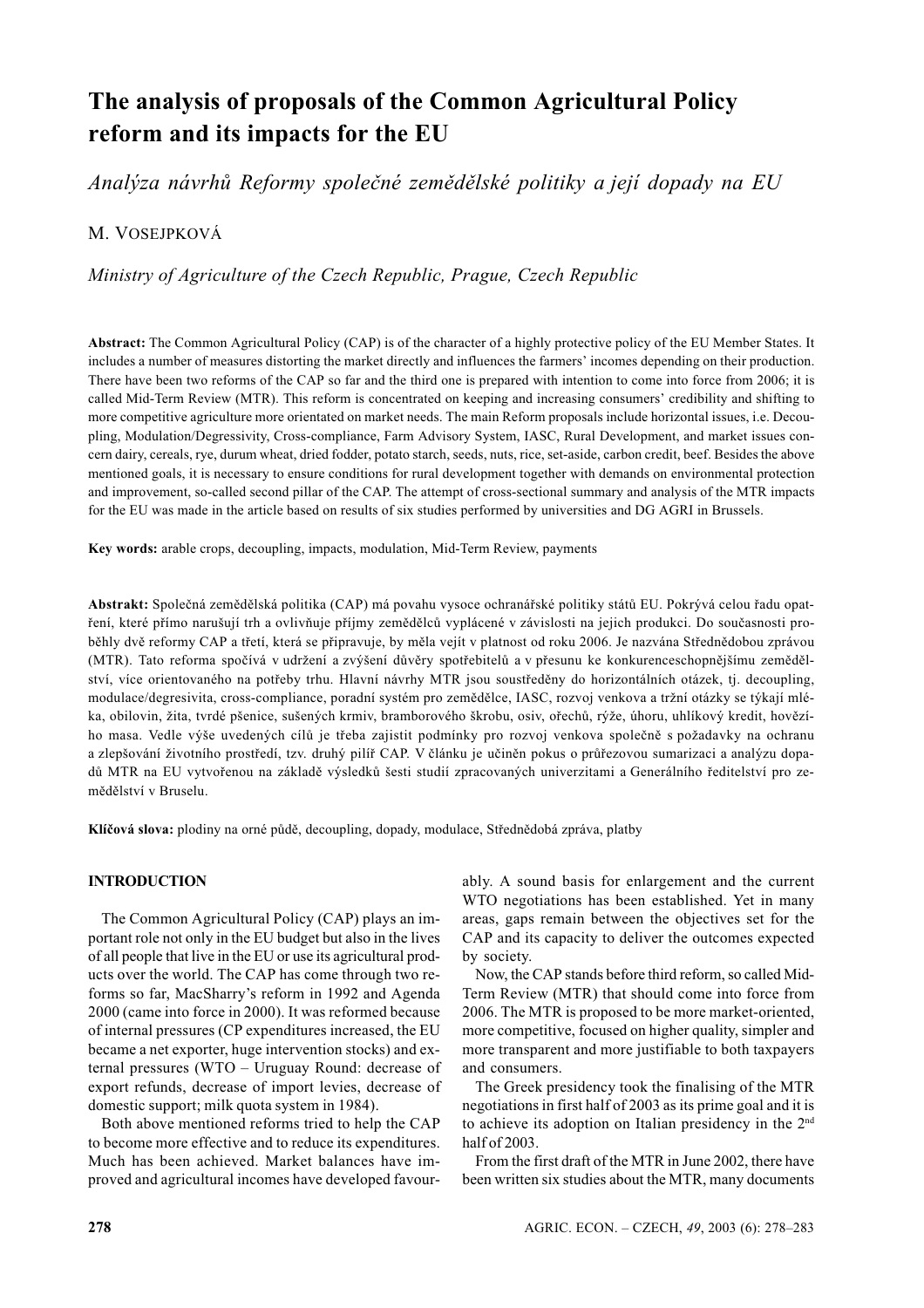# The analysis of proposals of the Common Agricultural Policy reform and its impacts for the EU

Analýza návrhů Reformy společné zemědělské politiky a její dopady na EU

M VOSEIPKOVÁ

Ministry of Agriculture of the Czech Republic, Prague, Czech Republic

Abstract: The Common Agricultural Policy (CAP) is of the character of a highly protective policy of the EU Member States. It includes a number of measures distorting the market directly and influences the farmers' incomes depending on their production. There have been two reforms of the CAP so far and the third one is prepared with intention to come into force from 2006; it is called Mid-Term Review (MTR). This reform is concentrated on keeping and increasing consumers' credibility and shifting to more competitive agriculture more orientated on market needs. The main Reform proposals include horizontal issues, i.e. Decoupling, Modulation/Degressivity, Cross-compliance, Farm Advisory System, IASC, Rural Development, and market issues concern dairy, cereals, rye, durum wheat, dried fodder, potato starch, seeds, nuts, rice, set-aside, carbon credit, beef. Besides the above mentioned goals, it is necessary to ensure conditions for rural development together with demands on environmental protection and improvement, so-called second pillar of the CAP. The attempt of cross-sectional summary and analysis of the MTR impacts for the EU was made in the article based on results of six studies performed by universities and DG AGRI in Brussels.

Key words: arable crops, decoupling, impacts, modulation, Mid-Term Review, payments

Abstrakt: Společná zemědělská politika (CAP) má povahu vysoce ochranářské politiky států EU. Pokrývá celou řadu opatření, které přímo narušují trh a ovlivňuje příjmy zemědělců vyplácené v závislosti na jejich produkci. Do současnosti proběhly dvě reformy CAP a třetí, která se připravuje, by měla vejít v platnost od roku 2006. Je nazvána Střednědobou zprávou (MTR). Tato reforma spočívá v udržení a zvýšení důvěry spotřebitelů a v přesunu ke konkurenceschopnějšímu zemědělství, více orientovaného na potřeby trhu. Hlavní návrhy MTR jsou soustředěny do horizontálních otázek, tj. decoupling, modulace/degresivita, cross-compliance, poradní systém pro zemědělce, IASC, rozvoj venkova a tržní otázky se týkají mléka, obilovin, žita, tvrdé pšenice, sušených krmiv, bramborového škrobu, osiv, ořechů, rýže, úhoru, uhlíkový kredit, hovězího masa. Vedle výše uvedených cílů je třeba zajistit podmínky pro rozvoj venkova společně s požadavky na ochranu a zlepšování životního prostředí, tzv. druhý pilíř CAP. V článku je učiněn pokus o průřezovou sumarizaci a analýzu dopadů MTR na EU vytvořenou na základě výsledků šesti studií zpracovaných univerzitami a Generálního ředitelství pro zemědělství v Bruselu

Klíčová slova: plodiny na orné půdě, decoupling, dopady, modulace, Střednědobá zpráva, platby

# **INTRODUCTION**

The Common Agricultural Policy (CAP) plays an important role not only in the EU budget but also in the lives of all people that live in the EU or use its agricultural products over the world. The CAP has come through two reforms so far, MacSharry's reform in 1992 and Agenda 2000 (came into force in 2000). It was reformed because of internal pressures (CP expenditures increased, the EU became a net exporter, huge intervention stocks) and external pressures ( $WTO - Uruguay$  Round: decrease of export refunds, decrease of import levies, decrease of domestic support; milk quota system in 1984).

Both above mentioned reforms tried to help the CAP to become more effective and to reduce its expenditures. Much has been achieved. Market balances have improved and agricultural incomes have developed favourably. A sound basis for enlargement and the current WTO negotiations has been established. Yet in many areas, gaps remain between the objectives set for the CAP and its capacity to deliver the outcomes expected by society.

Now, the CAP stands before third reform, so called Mid-Term Review (MTR) that should come into force from 2006. The MTR is proposed to be more market-oriented, more competitive, focused on higher quality, simpler and more transparent and more justifiable to both taxpayers and consumers.

The Greek presidency took the finalising of the MTR negotiations in first half of 2003 as its prime goal and it is to achieve its adoption on Italian presidency in the 2<sup>nd</sup>  $half<sub>0</sub>f<sub>2003</sub>$ 

From the first draft of the MTR in June 2002, there have been written six studies about the MTR, many documents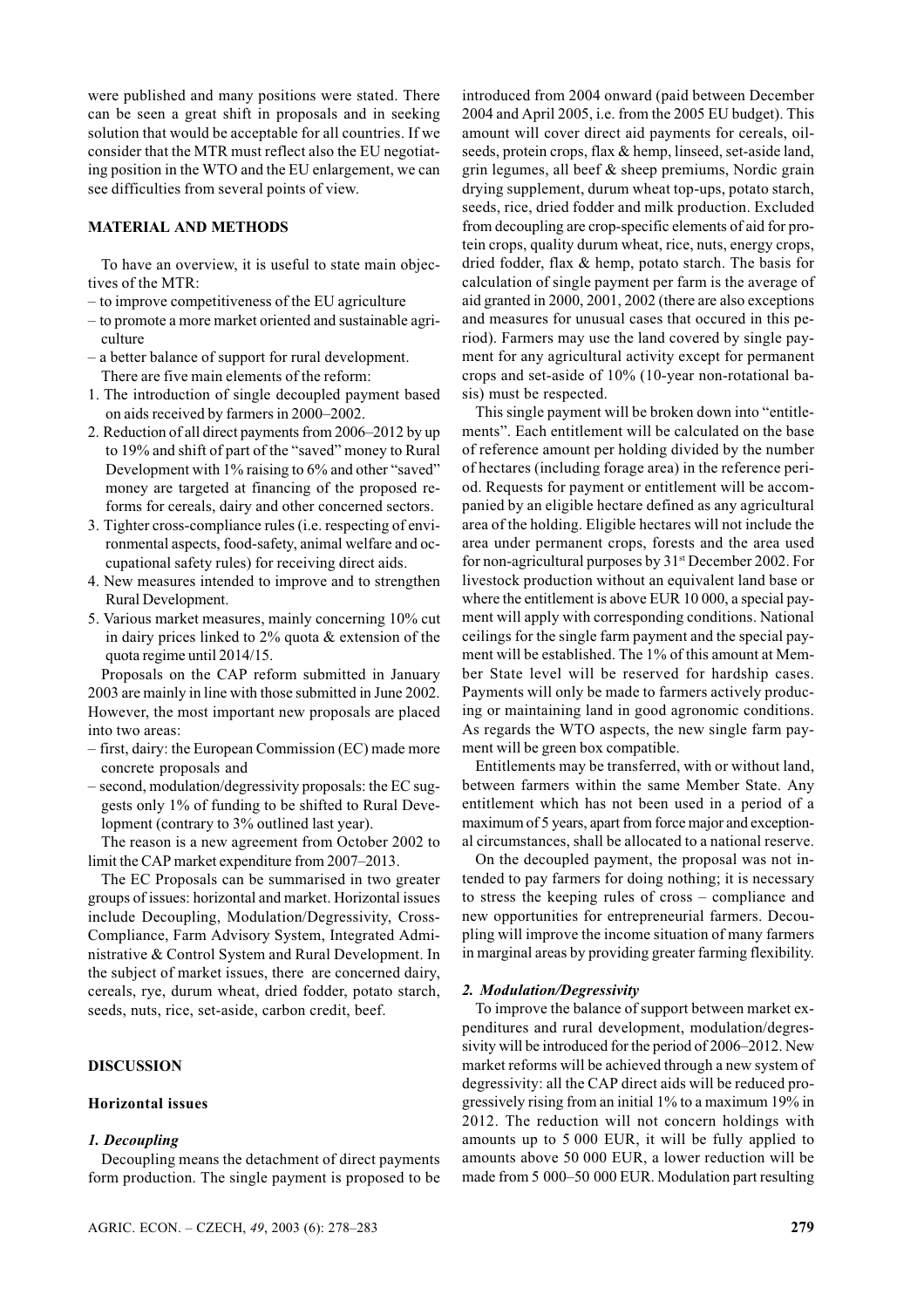were published and many positions were stated. There can be seen a great shift in proposals and in seeking solution that would be acceptable for all countries. If we consider that the MTR must reflect also the EU negotiating position in the WTO and the EU enlargement, we can see difficulties from several points of view.

# **MATERIAL AND METHODS**

To have an overview, it is useful to state main objectives of the MTR:

- to improve competitiveness of the EU agriculture
- to promote a more market oriented and sustainable agriculture
- a better balance of support for rural development. There are five main elements of the reform:
- 1. The introduction of single decoupled payment based on aids received by farmers in 2000-2002.
- 2. Reduction of all direct payments from 2006–2012 by up to 19% and shift of part of the "saved" money to Rural Development with 1% raising to 6% and other "saved" money are targeted at financing of the proposed reforms for cereals, dairy and other concerned sectors.
- 3. Tighter cross-compliance rules (i.e. respecting of environmental aspects, food-safety, animal welfare and occupational safety rules) for receiving direct aids.
- 4. New measures intended to improve and to strengthen Rural Development.
- 5. Various market measures, mainly concerning 10% cut in dairy prices linked to  $2\%$  quota & extension of the quota regime until 2014/15.

Proposals on the CAP reform submitted in January 2003 are mainly in line with those submitted in June 2002. However, the most important new proposals are placed into two areas:

- first, dairy: the European Commission (EC) made more concrete proposals and
- second, modulation/degressivity proposals: the EC suggests only 1% of funding to be shifted to Rural Development (contrary to 3% outlined last year).

The reason is a new agreement from October 2002 to limit the CAP market expenditure from 2007-2013.

The EC Proposals can be summarised in two greater groups of issues: horizontal and market. Horizontal issues include Decoupling, Modulation/Degressivity, Cross-Compliance, Farm Advisory System, Integrated Administrative & Control System and Rural Development. In the subject of market issues, there are concerned dairy, cereals, rye, durum wheat, dried fodder, potato starch, seeds, nuts, rice, set-aside, carbon credit, beef.

# **DISCUSSION**

## **Horizontal issues**

#### 1. Decoupling

Decoupling means the detachment of direct payments form production. The single payment is proposed to be introduced from 2004 onward (paid between December 2004 and April 2005, i.e. from the 2005 EU budget). This amount will cover direct aid payments for cereals, oilseeds, protein crops, flax & hemp, linseed, set-aside land, grin legumes, all beef  $\&$  sheep premiums. Nordic grain drying supplement, durum wheat top-ups, potato starch, seeds, rice, dried fodder and milk production. Excluded from decoupling are crop-specific elements of aid for protein crops, quality durum wheat, rice, nuts, energy crops, dried fodder, flax  $\&$  hemp, potato starch. The basis for calculation of single payment per farm is the average of aid granted in 2000, 2001, 2002 (there are also exceptions and measures for unusual cases that occured in this period). Farmers may use the land covered by single payment for any agricultural activity except for permanent crops and set-aside of 10% (10-year non-rotational basis) must be respected.

This single payment will be broken down into "entitlements". Each entitlement will be calculated on the base of reference amount per holding divided by the number of hectares (including forage area) in the reference period. Requests for payment or entitlement will be accompanied by an eligible hectare defined as any agricultural area of the holding. Eligible hectares will not include the area under permanent crops, forests and the area used for non-agricultural purposes by 31<sup>st</sup> December 2002. For livestock production without an equivalent land base or where the entitlement is above EUR 10 000, a special payment will apply with corresponding conditions. National ceilings for the single farm payment and the special payment will be established. The 1% of this amount at Member State level will be reserved for hardship cases. Payments will only be made to farmers actively producing or maintaining land in good agronomic conditions. As regards the WTO aspects, the new single farm payment will be green box compatible.

Entitlements may be transferred, with or without land, between farmers within the same Member State. Any entitlement which has not been used in a period of a maximum of 5 years, apart from force major and exceptional circumstances, shall be allocated to a national reserve.

On the decoupled payment, the proposal was not intended to pay farmers for doing nothing; it is necessary to stress the keeping rules of cross – compliance and new opportunities for entrepreneurial farmers. Decoupling will improve the income situation of many farmers in marginal areas by providing greater farming flexibility.

# 2. Modulation/Degressivity

To improve the balance of support between market expenditures and rural development, modulation/degressivity will be introduced for the period of 2006–2012. New market reforms will be achieved through a new system of degressivity: all the CAP direct aids will be reduced progressively rising from an initial 1% to a maximum 19% in 2012. The reduction will not concern holdings with amounts up to 5 000 EUR, it will be fully applied to amounts above 50 000 EUR, a lower reduction will be made from 5 000-50 000 EUR. Modulation part resulting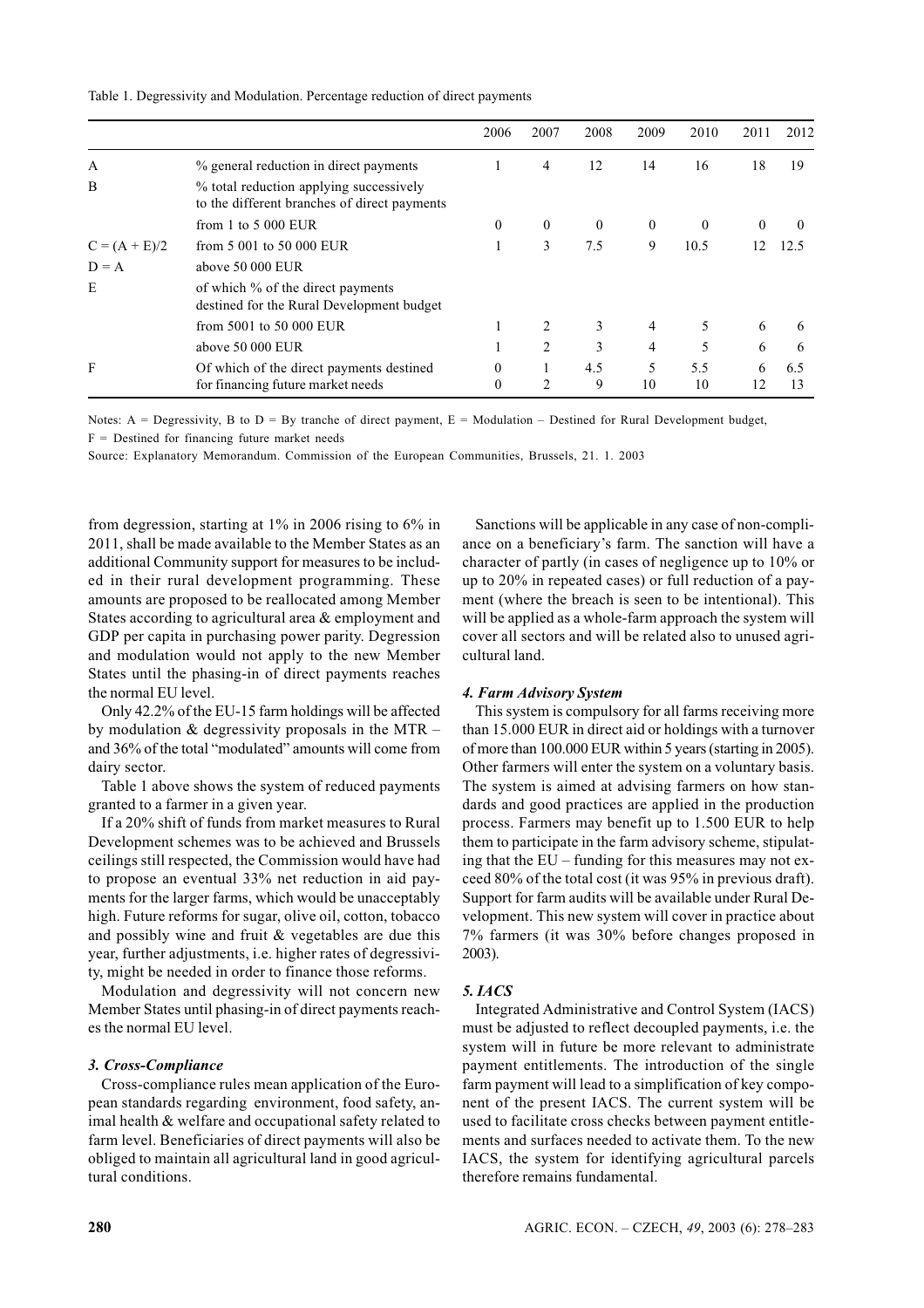Table 1. Degressivity and Modulation. Percentage reduction of direct payments

|                 |                                                                                         | 2006         | 2007           | 2008     | 2009         | 2010     | 2011     | 2012     |
|-----------------|-----------------------------------------------------------------------------------------|--------------|----------------|----------|--------------|----------|----------|----------|
| A               | % general reduction in direct payments                                                  |              | 4              | 12       | 14           | 16       | 18       | 19       |
| B               | % total reduction applying successively<br>to the different branches of direct payments |              |                |          |              |          |          |          |
|                 | from $1$ to $5000$ EUR                                                                  | $\mathbf{0}$ | $\theta$       | $\theta$ | $\mathbf{0}$ | $\Omega$ | $\theta$ | $\theta$ |
| $C = (A + E)/2$ | from 5 001 to 50 000 EUR                                                                | 1            | 3              | 7.5      | 9            | 10.5     | 12       | 12.5     |
| $D = A$         | above 50 000 EUR                                                                        |              |                |          |              |          |          |          |
| E               | of which % of the direct payments<br>destined for the Rural Development budget          |              |                |          |              |          |          |          |
|                 | from 5001 to 50 000 EUR                                                                 | 1            | 2              | 3        | 4            | 5        | 6        | 6        |
|                 | above 50 000 EUR                                                                        | 1            | $\overline{c}$ | 3        | 4            | 5        | 6        | 6        |
| $\mathbf{F}$    | Of which of the direct payments destined                                                | $\theta$     |                | 4.5      | 5            | 5.5      | 6        | 6.5      |
|                 | for financing future market needs                                                       | $\mathbf{0}$ | $\mathfrak{D}$ | 9        | 10           | 10       | 12       | 13       |

Notes:  $A = \text{Degressivity}$ ,  $B$  to  $D = By$  tranche of direct payment,  $E = \text{Modulation} - \text{Destined}$  for Rural Development budget,  $F =$  Destined for financing future market needs

Source: Explanatory Memorandum. Commission of the European Communities, Brussels, 21. 1. 2003

from degression, starting at  $1\%$  in 2006 rising to 6% in 2011, shall be made available to the Member States as an additional Community support for measures to be included in their rural development programming. These amounts are proposed to be reallocated among Member States according to agricultural area & employment and GDP per capita in purchasing power parity. Degression and modulation would not apply to the new Member States until the phasing-in of direct payments reaches the normal EU level.

Only 42.2% of the EU-15 farm holdings will be affected by modulation  $\&$  degressivity proposals in the MTR – and 36% of the total "modulated" amounts will come from dairy sector.

Table 1 above shows the system of reduced payments granted to a farmer in a given year.

If a 20% shift of funds from market measures to Rural Development schemes was to be achieved and Brussels ceilings still respected, the Commission would have had to propose an eventual 33% net reduction in aid payments for the larger farms, which would be unacceptably high. Future reforms for sugar, olive oil, cotton, tobacco and possibly wine and fruit & vegetables are due this year, further adjustments, i.e. higher rates of degressivity, might be needed in order to finance those reforms.

Modulation and degressivity will not concern new Member States until phasing-in of direct payments reaches the normal EU level.

## 3. Cross-Compliance

Cross-compliance rules mean application of the European standards regarding environment, food safety, animal health & welfare and occupational safety related to farm level. Beneficiaries of direct payments will also be obliged to maintain all agricultural land in good agricultural conditions.

Sanctions will be applicable in any case of non-compliance on a beneficiary's farm. The sanction will have a character of partly (in cases of negligence up to 10% or up to 20% in repeated cases) or full reduction of a payment (where the breach is seen to be intentional). This will be applied as a whole-farm approach the system will cover all sectors and will be related also to unused agricultural land.

# 4. Farm Advisory System

This system is compulsory for all farms receiving more than 15.000 EUR in direct aid or holdings with a turnover of more than 100.000 EUR within 5 years (starting in 2005). Other farmers will enter the system on a voluntary basis. The system is aimed at advising farmers on how standards and good practices are applied in the production process. Farmers may benefit up to 1.500 EUR to help them to participate in the farm advisory scheme, stipulating that the EU – funding for this measures may not exceed 80% of the total cost (it was 95% in previous draft). Support for farm audits will be available under Rural Development. This new system will cover in practice about 7% farmers (it was 30% before changes proposed in  $2003$ ).

# 5. IACS

Integrated Administrative and Control System (IACS) must be adjusted to reflect decoupled payments, i.e. the system will in future be more relevant to administrate payment entitlements. The introduction of the single farm payment will lead to a simplification of key component of the present IACS. The current system will be used to facilitate cross checks between payment entitlements and surfaces needed to activate them. To the new IACS, the system for identifying agricultural parcels therefore remains fundamental.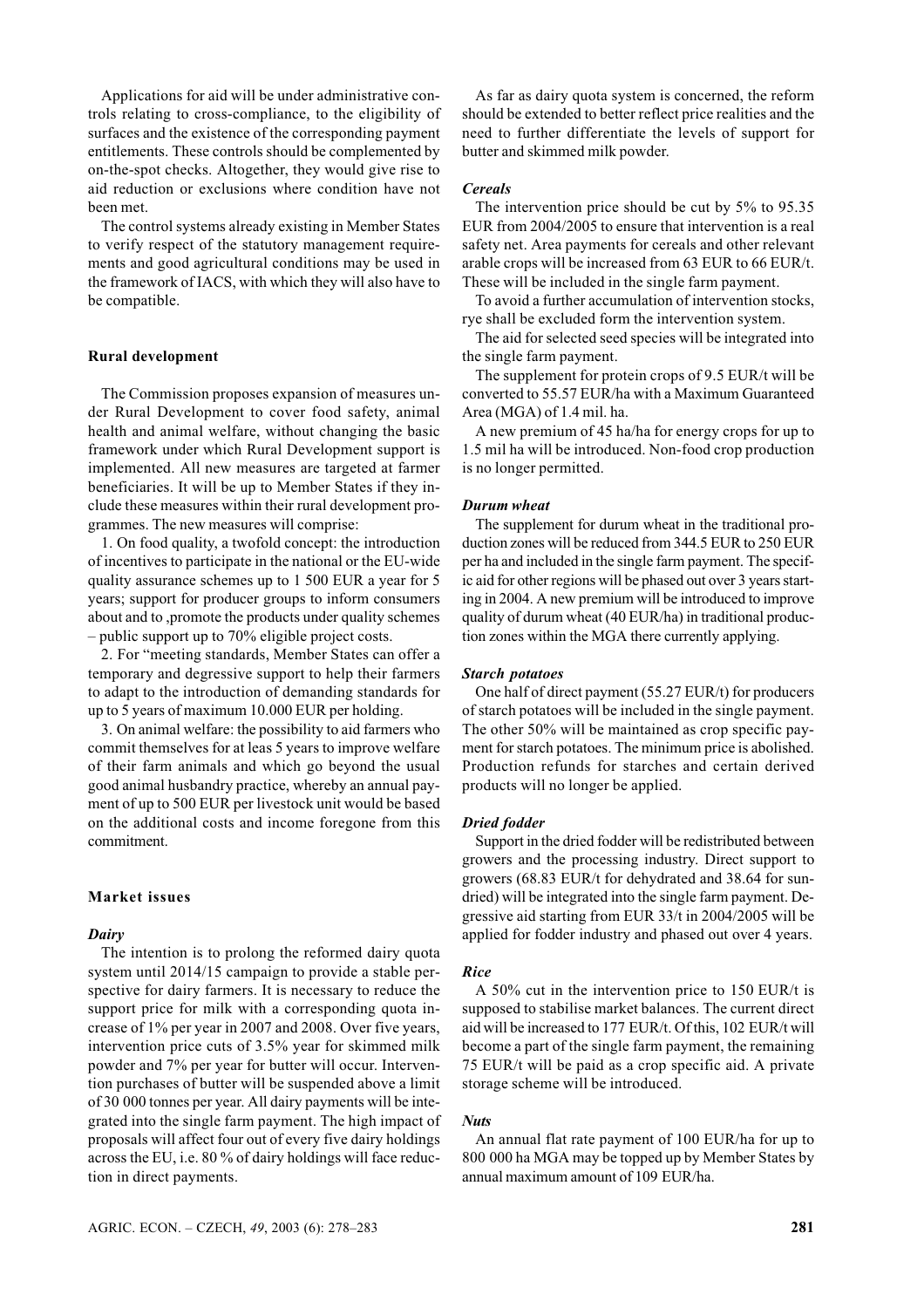Applications for aid will be under administrative controls relating to cross-compliance, to the eligibility of surfaces and the existence of the corresponding payment entitlements. These controls should be complemented by on-the-spot checks. Altogether, they would give rise to aid reduction or exclusions where condition have not been met.

The control systems already existing in Member States to verify respect of the statutory management requirements and good agricultural conditions may be used in the framework of IACS, with which they will also have to be compatible.

#### **Rural development**

The Commission proposes expansion of measures under Rural Development to cover food safety, animal health and animal welfare, without changing the basic framework under which Rural Development support is implemented. All new measures are targeted at farmer beneficiaries. It will be up to Member States if they include these measures within their rural development programmes. The new measures will comprise:

1. On food quality, a twofold concept: the introduction of incentives to participate in the national or the EU-wide quality assurance schemes up to 1 500 EUR a year for 5 years; support for producer groups to inform consumers about and to , promote the products under quality schemes  $-$  public support up to 70% eligible project costs.

2. For "meeting standards, Member States can offer a temporary and degressive support to help their farmers to adapt to the introduction of demanding standards for up to 5 years of maximum 10.000 EUR per holding.

3. On animal welfare: the possibility to aid farmers who commit themselves for at leas 5 years to improve welfare of their farm animals and which go beyond the usual good animal husbandry practice, whereby an annual payment of up to 500 EUR per livestock unit would be based on the additional costs and income foregone from this commitment.

## **Market** issues

#### Dairy

The intention is to prolong the reformed dairy quota system until 2014/15 campaign to provide a stable perspective for dairy farmers. It is necessary to reduce the support price for milk with a corresponding quota increase of 1% per year in 2007 and 2008. Over five years, intervention price cuts of 3.5% year for skimmed milk powder and 7% per year for butter will occur. Intervention purchases of butter will be suspended above a limit of 30 000 tonnes per year. All dairy payments will be integrated into the single farm payment. The high impact of proposals will affect four out of every five dairy holdings across the EU, i.e. 80 % of dairy holdings will face reduction in direct payments.

As far as dairy quota system is concerned, the reform should be extended to better reflect price realities and the need to further differentiate the levels of support for butter and skimmed milk powder.

#### **Cereals**

The intervention price should be cut by 5% to 95.35 EUR from 2004/2005 to ensure that intervention is a real safety net. Area payments for cereals and other relevant arable crops will be increased from 63 EUR to 66 EUR/t. These will be included in the single farm payment.

To avoid a further accumulation of intervention stocks, rve shall be excluded form the intervention system.

The aid for selected seed species will be integrated into the single farm payment.

The supplement for protein crops of 9.5 EUR/t will be converted to 55.57 EUR/ha with a Maximum Guaranteed Area (MGA) of 1.4 mil. ha.

A new premium of 45 ha/ha for energy crops for up to 1.5 mil ha will be introduced. Non-food crop production is no longer permitted.

#### Durum wheat

The supplement for durum wheat in the traditional production zones will be reduced from 344.5 EUR to 250 EUR per ha and included in the single farm payment. The specific aid for other regions will be phased out over 3 years starting in 2004. A new premium will be introduced to improve quality of durum wheat (40 EUR/ha) in traditional production zones within the MGA there currently applying.

#### **Starch potatoes**

One half of direct payment (55.27 EUR/t) for producers of starch potatoes will be included in the single payment. The other 50% will be maintained as crop specific payment for starch potatoes. The minimum price is abolished. Production refunds for starches and certain derived products will no longer be applied.

## **Dried fodder**

Support in the dried fodder will be redistributed between growers and the processing industry. Direct support to growers (68.83 EUR/t for dehydrated and 38.64 for sundried) will be integrated into the single farm payment. Degressive aid starting from EUR 33/t in 2004/2005 will be applied for fodder industry and phased out over 4 years.

#### **Rice**

A 50% cut in the intervention price to 150 EUR/t is supposed to stabilise market balances. The current direct aid will be increased to 177 EUR/t. Of this, 102 EUR/t will become a part of the single farm payment, the remaining 75 EUR/t will be paid as a crop specific aid. A private storage scheme will be introduced.

# **Nuts**

An annual flat rate payment of 100 EUR/ha for up to 800 000 ha MGA may be topped up by Member States by annual maximum amount of 109 EUR/ha.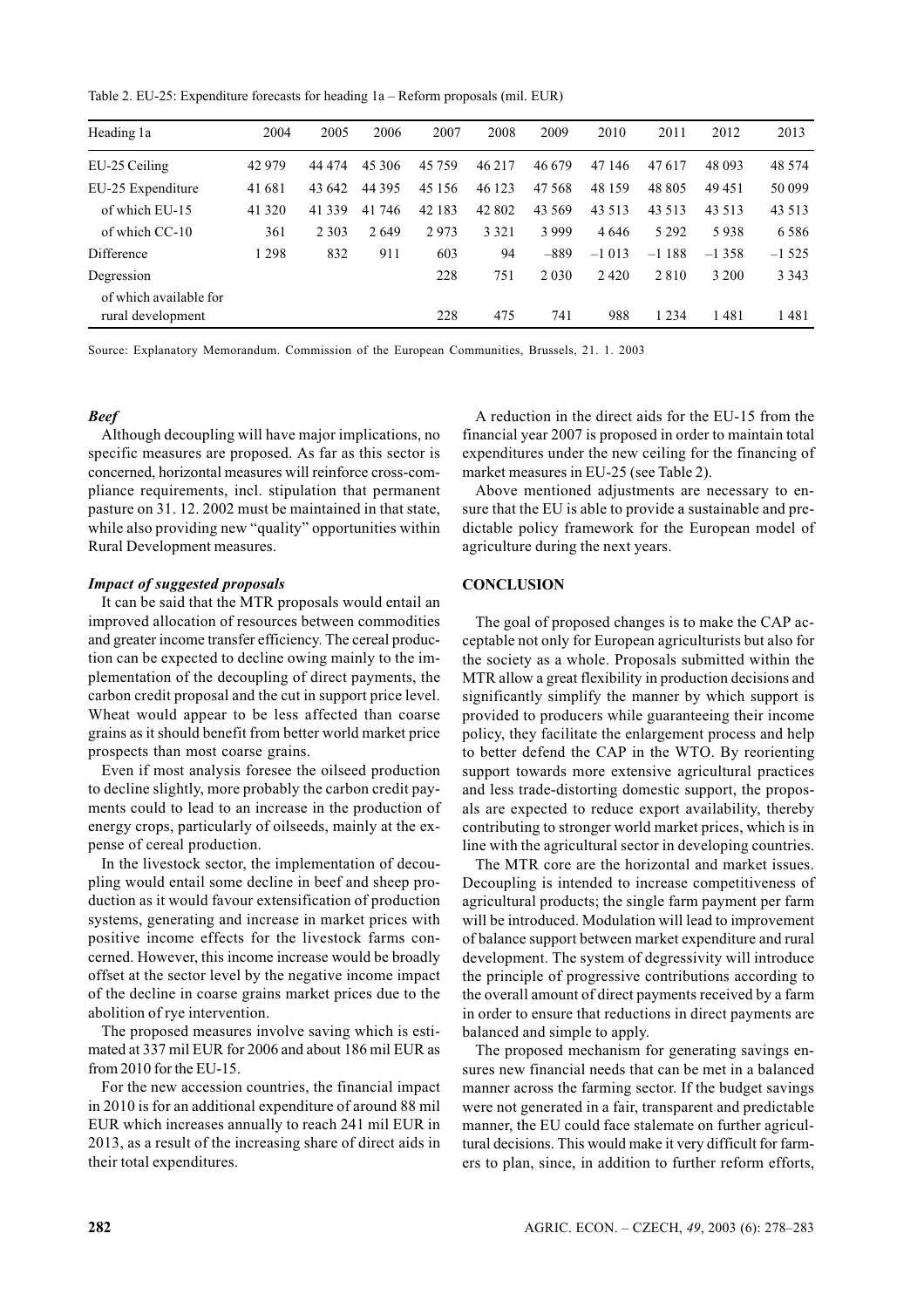Table 2. EU-25: Expenditure forecasts for heading 1a – Reform proposals (mil. EUR)

| Heading 1a                                  | 2004    | 2005     | 2006     | 2007   | 2008    | 2009    | 2010    | 2011    | 2012    | 2013     |
|---------------------------------------------|---------|----------|----------|--------|---------|---------|---------|---------|---------|----------|
| EU-25 Ceiling                               | 42 979  | 44 4 7 4 | 45 30 6  | 45 759 | 46 217  | 46 679  | 47 146  | 47617   | 48 093  | 48 5 7 4 |
| EU-25 Expenditure                           | 41 681  | 43 642   | 44 3 9 5 | 45 156 | 46 123  | 47 5 68 | 48 159  | 48 805  | 49451   | 50099    |
| of which EU-15                              | 41 3 20 | 41 3 3 9 | 41 746   | 42 183 | 42 802  | 43 5 69 | 43 513  | 43 5 13 | 43 5 13 | 43 5 13  |
| of which $CC-10$                            | 361     | 2 3 0 3  | 2649     | 2973   | 3 3 2 1 | 3999    | 4 6 4 6 | 5 2 9 2 | 5938    | 6586     |
| Difference                                  | 1 298   | 832      | 911      | 603    | 94      | $-889$  | $-1013$ | $-1188$ | $-1358$ | $-1.525$ |
| Degression                                  |         |          |          | 228    | 751     | 2 0 3 0 | 2420    | 2810    | 3 200   | 3 3 4 3  |
| of which available for<br>rural development |         |          |          | 228    | 475     | 741     | 988     | 1 2 3 4 | 1481    | 1481     |
|                                             |         |          |          |        |         |         |         |         |         |          |

Source: Explanatory Memorandum. Commission of the European Communities, Brussels, 21. 1. 2003

# **Beef**

Although decoupling will have major implications, no specific measures are proposed. As far as this sector is concerned, horizontal measures will reinforce cross-compliance requirements, incl. stipulation that permanent pasture on 31, 12, 2002 must be maintained in that state, while also providing new "quality" opportunities within Rural Development measures.

# **Impact of suggested proposals**

It can be said that the MTR proposals would entail an improved allocation of resources between commodities and greater income transfer efficiency. The cereal production can be expected to decline owing mainly to the implementation of the decoupling of direct payments, the carbon credit proposal and the cut in support price level. Wheat would appear to be less affected than coarse grains as it should benefit from better world market price prospects than most coarse grains.

Even if most analysis foresee the oilseed production to decline slightly, more probably the carbon credit payments could to lead to an increase in the production of energy crops, particularly of oilseeds, mainly at the expense of cereal production.

In the livestock sector, the implementation of decoupling would entail some decline in beef and sheep production as it would favour extensification of production systems, generating and increase in market prices with positive income effects for the livestock farms concerned. However, this income increase would be broadly offset at the sector level by the negative income impact of the decline in coarse grains market prices due to the abolition of rye intervention.

The proposed measures involve saving which is estimated at 337 mil EUR for 2006 and about 186 mil EUR as from  $2010$  for the EU-15.

For the new accession countries, the financial impact in 2010 is for an additional expenditure of around 88 mil EUR which increases annually to reach 241 mil EUR in 2013, as a result of the increasing share of direct aids in their total expenditures.

A reduction in the direct aids for the EU-15 from the financial year 2007 is proposed in order to maintain total expenditures under the new ceiling for the financing of market measures in EU-25 (see Table 2).

Above mentioned adjustments are necessary to ensure that the EU is able to provide a sustainable and predictable policy framework for the European model of agriculture during the next years.

# **CONCLUSION**

The goal of proposed changes is to make the CAP acceptable not only for European agriculturists but also for the society as a whole. Proposals submitted within the MTR allow a great flexibility in production decisions and significantly simplify the manner by which support is provided to producers while guaranteeing their income policy, they facilitate the enlargement process and help to better defend the CAP in the WTO. By reorienting support towards more extensive agricultural practices and less trade-distorting domestic support, the proposals are expected to reduce export availability, thereby contributing to stronger world market prices, which is in line with the agricultural sector in developing countries.

The MTR core are the horizontal and market issues. Decoupling is intended to increase competitiveness of agricultural products; the single farm payment per farm will be introduced. Modulation will lead to improvement of balance support between market expenditure and rural development. The system of degressivity will introduce the principle of progressive contributions according to the overall amount of direct payments received by a farm in order to ensure that reductions in direct payments are balanced and simple to apply.

The proposed mechanism for generating savings ensures new financial needs that can be met in a balanced manner across the farming sector. If the budget savings were not generated in a fair, transparent and predictable manner, the EU could face stalemate on further agricultural decisions. This would make it very difficult for farmers to plan, since, in addition to further reform efforts,